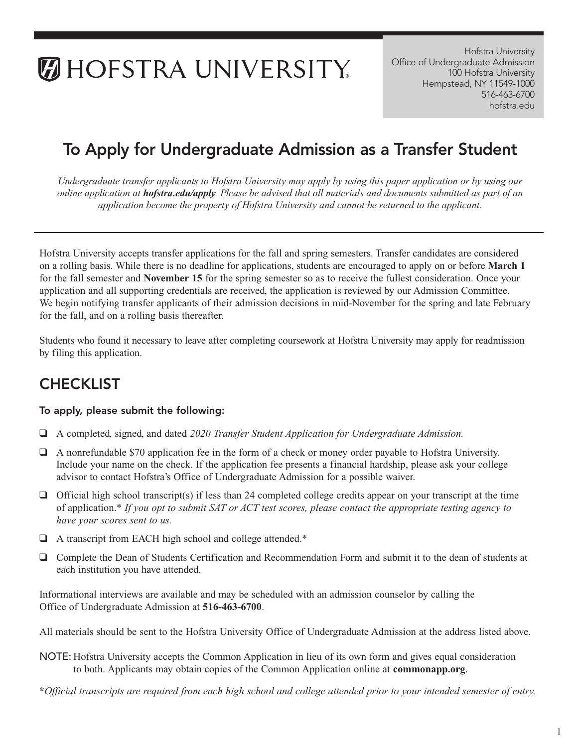# **MHOFSTRA UNIVERSITY**

Hofstra University Office of Undergraduate Admission 100 Hofstra University Hempstead, NY 11549-1000 516-463-6700 [hofstra.edu](https://hofstra.edu) 

## To Apply for Undergraduate Admission as a Transfer Student

*Undergraduate transfer applicants to Hofstra University may apply by using this paper application or by using our online application at [hofstra.edu/apply](https://hofstra.edu/apply). Please be advised that all materials and documents submitted as part of an application become the property of Hofstra University and cannot be returned to the applicant.* 

Hofstra University accepts transfer applications for the fall and spring semesters. Transfer candidates are considered on a rolling basis. While there is no deadline for applications, students are encouraged to apply on or before **March 1**  for the fall semester and **November 15** for the spring semester so as to receive the fullest consideration. Once your application and all supporting credentials are received, the application is reviewed by our Admission Committee. We begin notifying transfer applicants of their admission decisions in mid-November for the spring and late February for the fall, and on a rolling basis thereafter.

Students who found it necessary to leave after completing coursework at Hofstra University may apply for readmission by filing this application.

## **CHECKLIST**

### To apply, please submit the following:

- ❑ A completed, signed, and dated *2020 Transfer Student Application for Undergraduate Admission.*
- ❑ A nonrefundable \$70 application fee in the form of a check or money order payable to Hofstra University. Include your name on the check. If the application fee presents a financial hardship, please ask your college advisor to contact Hofstra's Office of Undergraduate Admission for a possible waiver.
- ❑ Official high school transcript(s) if less than 24 completed college credits appear on your transcript at the time of application.\* *If you opt to submit SAT or ACT test scores, please contact the appropriate testing agency to have your scores sent to us.*
- ❑ A transcript from EACH high school and college attended.\*
- □ Complete the Dean of Students Certification and Recommendation Form and submit it to the dean of students at each institution you have attended.

Informational interviews are available and may be scheduled with an admission counselor by calling the Office of Undergraduate Admission at **516-463-6700**.

All materials should be sent to the Hofstra University Office of Undergraduate Admission at the address listed above.

- NOTE: Hofstra University accepts the Common Application in lieu of its own form and gives equal consideration to both. Applicants may obtain copies of the Common Application online at **[commonapp.org](https://commonapp.org)**.
- **\****Official transcripts are required from each high school and college attended prior to your intended semester of entry.*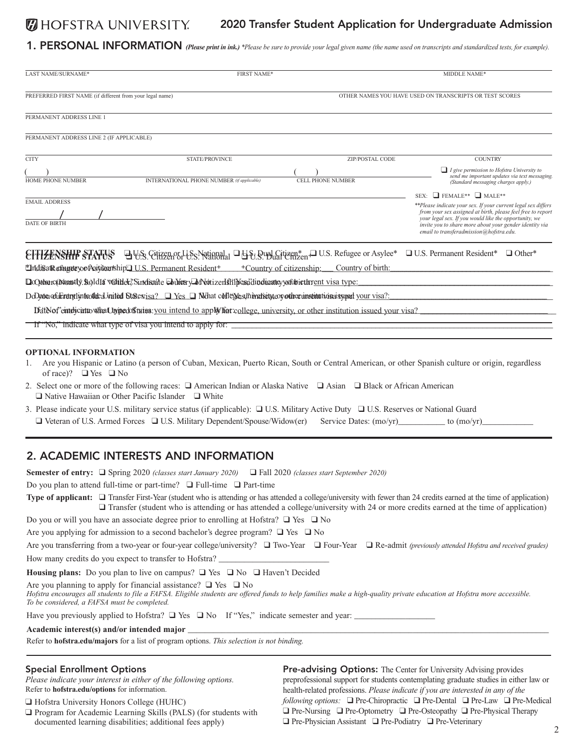#### **DESTRA UNIVERSITY** 2020 Transfer Student Application for Undergraduate Admission

1. PERSONAL INFORMATION *(Please print in ink.) \*Please be sure to provide your legal given name (the name used on transcripts and standardized tests, for example).* 

| LAST NAME/SURNAME*                                       | <b>FIRST NAME*</b>                                                                                                                        |                                                                                                                           | MIDDLE NAME*                                                                                                                                                                                                                                                                                |
|----------------------------------------------------------|-------------------------------------------------------------------------------------------------------------------------------------------|---------------------------------------------------------------------------------------------------------------------------|---------------------------------------------------------------------------------------------------------------------------------------------------------------------------------------------------------------------------------------------------------------------------------------------|
| PREFERRED FIRST NAME (if different from your legal name) |                                                                                                                                           |                                                                                                                           | OTHER NAMES YOU HAVE USED ON TRANSCRIPTS OR TEST SCORES                                                                                                                                                                                                                                     |
| PERMANENT ADDRESS LINE 1                                 |                                                                                                                                           |                                                                                                                           |                                                                                                                                                                                                                                                                                             |
| PERMANENT ADDRESS LINE 2 (IF APPLICABLE)                 |                                                                                                                                           |                                                                                                                           |                                                                                                                                                                                                                                                                                             |
| <b>CITY</b>                                              | <b>STATE/PROVINCE</b>                                                                                                                     | <b>ZIP/POSTAL CODE</b>                                                                                                    | <b>COUNTRY</b>                                                                                                                                                                                                                                                                              |
| HOME PHONE NUMBER                                        | INTERNATIONAL PHONE NUMBER (if applicable)                                                                                                | CELL PHONE NUMBER                                                                                                         | $\Box$ I give permission to Hofstra University to<br>send me important updates via text messaging.<br>(Standard messaging charges apply.)                                                                                                                                                   |
|                                                          |                                                                                                                                           |                                                                                                                           | SEX: FEMALE** NALE**                                                                                                                                                                                                                                                                        |
| <b>EMAIL ADDRESS</b><br><b>DATE OF BIRTH</b>             |                                                                                                                                           |                                                                                                                           | **Please indicate your sex. If your current legal sex differs<br>from your sex assigned at birth, please feel free to report<br>your legal sex. If you would like the opportunity, we<br>invite you to share more about your gender identity via<br>email to transferadmission@hofstra.edu. |
|                                                          |                                                                                                                                           | EITIZENSHIP STATUS DUS Citizen or U.S. National DUS Bubl Citizen* DUS. Refugee or Asylee*                                 | $\Box$ U.S. Permanent Resident*<br>$\Box$ Other*                                                                                                                                                                                                                                            |
|                                                          | "IndisatReforgeteyoofAsitikeenship" U.S. Permanent Resident+                                                                              | +Country of citizenship:<br>Country of birth:                                                                             |                                                                                                                                                                                                                                                                                             |
|                                                          | DoCytherc(tNoom4ly. So)ld16 Valitlelef. Sindisaire DolferyDfNotizerIshijfessidindinaticy yoft biethrent visa type:                        |                                                                                                                           |                                                                                                                                                                                                                                                                                             |
|                                                          | DoDaten of uncherchief white differential States $\Box$ Yes $\Box$ Nothat of the experimental export the constant tion states your visa?: |                                                                                                                           |                                                                                                                                                                                                                                                                                             |
|                                                          |                                                                                                                                           | Datblof'entdychtte what hypedostuies: you intend to apply hat college, university, or other institution issued your visa? |                                                                                                                                                                                                                                                                                             |
|                                                          | If "No," indicate what type of visa you intend to apply for:                                                                              |                                                                                                                           |                                                                                                                                                                                                                                                                                             |
|                                                          |                                                                                                                                           |                                                                                                                           |                                                                                                                                                                                                                                                                                             |
| <b>OPTIONAL INFORMATION</b>                              |                                                                                                                                           |                                                                                                                           |                                                                                                                                                                                                                                                                                             |

- 1. Are you Hispanic or Latino (a person of Cuban, Mexican, Puerto Rican, South or Central American, or other Spanish culture or origin, regardless of race)? ❑ Yes ❑ No
- 2. Select one or more of the following races: ❑ American Indian or Alaska Native ❑ Asian ❑ Black or African American ❑ Native Hawaiian or Other Pacific Islander ❑ White
- 3. Please indicate your U.S. military service status (if applicable): ❑ U.S. Military Active Duty ❑ U.S. Reserves or National Guard ❑ Veteran of U.S. Armed Forces ❑ U.S. Military Dependent/Spouse/Widow(er) Service Dates: (mo/yr)\_\_\_\_\_\_\_\_\_\_\_ to (mo/yr)\_\_\_\_\_\_\_\_\_\_\_\_

#### 2. ACADEMIC INTERESTS AND INFORMATION

**Semester of entry:** ❑ Spring 2020 *(classes start January 2020)* ❑ Fall 2020 *(classes start September 2020)* 

Do you plan to attend full-time or part-time? ❑ Full-time ❑ Part-time

Type of applicant: 
□ Transfer First-Year (student who is attending or has attended a college/university with fewer than 24 credits earned at the time of application) ❑ Transfer (student who is attending or has attended a college/university with 24 or more credits earned at the time of application)

Do you or will you have an associate degree prior to enrolling at Hofstra?  $\Box$  Yes  $\Box$  No

Are you applying for admission to a second bachelor's degree program?  $\Box$  Yes  $\Box$  No

 Are you transferring from a two-year or four-year college/university? ❑ Two-Year ❑ Four-Year ❑ Re-admit *(previously attended Hofstra and received grades)*  How many credits do you expect to transfer to Hofstra? \_

**Housing plans:** Do you plan to live on campus? ❑ Yes ❑ No ❑ Haven't Decided

Are you planning to apply for financial assistance? ❑ Yes ❑ No

*Hofstra encourages all students to file a FAFSA. Eligible students are offered funds to help families make a high-quality private education at Hofstra more accessible. To be considered, a FAFSA must be completed.* 

Have you previously applied to Hofstra?  $\Box$  Yes  $\Box$  No If "Yes," indicate semester and year:  $\Box$ 

**Academic interest(s) and/or intended major \_\_\_\_\_\_\_\_\_\_\_\_\_\_\_\_\_\_\_\_\_\_\_\_\_\_\_\_\_\_\_\_\_\_\_\_\_\_\_\_\_\_\_\_\_\_\_\_\_\_\_\_\_\_\_\_\_\_\_\_\_\_\_\_\_\_\_\_\_\_\_\_\_\_\_\_\_\_\_\_\_\_\_\_\_** 

Refer to **[hofstra.edu/majors](https://hofstra.edu/majors)** for a list of program options. *This selection is not binding.* 

 ❑ Hofstra University Honors College (HUHC) *following options:* ❑ Pre-Chiropractic ❑ Pre-Dental ❑ Pre-Law ❑ Pre-Medical  $\Box$  Program for Academic Learning Skills (PALS) (for students with  $\Box$  Pre-Nursing  $\Box$  Pre-Optometry  $\Box$  Pre-Osteopathy  $\Box$  Pre-Physical Therapy documented learning disabilities; additional fees apply)  $\Box$  Pre-Physi Special Enrollment Options **Pre-advising Options:** The Center for University Advising provides *Please indicate your interest in either of the following options.* preprofessional support for students contemplating graduate studies in either law or Refer to **[hofstra.edu/options](https://hofstra.edu/options)** for information. health-related professions. *Please indicate if you are interested in any of the*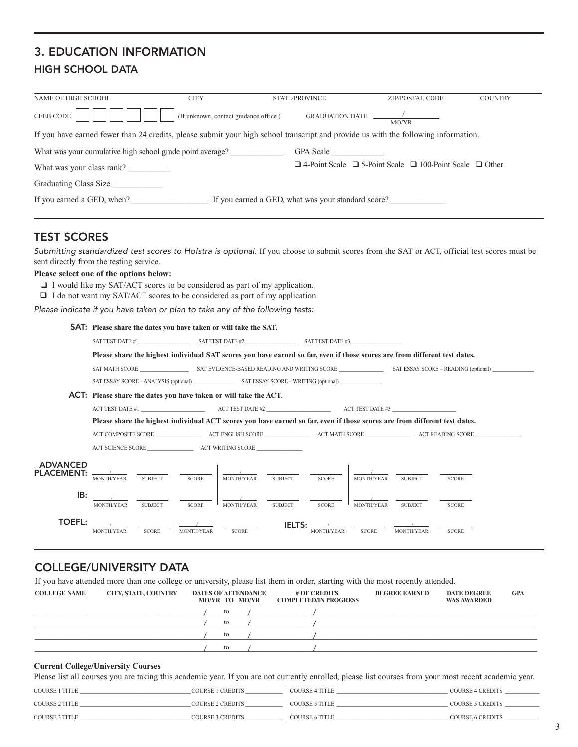### 3. EDUCATION INFORMATION HIGH SCHOOL DATA

| NAME OF HIGH SCHOOL                                                                                                                | <b>CITY</b>                            | <b>STATE/PROVINCE</b>                              | <b>ZIP/POSTAL CODE</b>                                                        | <b>COUNTRY</b> |
|------------------------------------------------------------------------------------------------------------------------------------|----------------------------------------|----------------------------------------------------|-------------------------------------------------------------------------------|----------------|
| CEEB CODE                                                                                                                          | (If unknown, contact guidance office.) | GRADUATION DATE /                                  | MO/YR                                                                         |                |
| If you have earned fewer than 24 credits, please submit your high school transcript and provide us with the following information. |                                        |                                                    |                                                                               |                |
| What was your cumulative high school grade point average?                                                                          |                                        | GPA Scale                                          |                                                                               |                |
| What was your class rank?                                                                                                          |                                        |                                                    | $\Box$ 4-Point Scale $\Box$ 5-Point Scale $\Box$ 100-Point Scale $\Box$ Other |                |
| Graduating Class Size                                                                                                              |                                        |                                                    |                                                                               |                |
| If you earned a GED, when?                                                                                                         |                                        | If you earned a GED, what was your standard score? |                                                                               |                |

### TEST SCORES

*Submitting standardized test scores to Hofstra is optional.* If you choose to submit scores from the SAT or ACT, official test scores must be sent directly from the testing service.

#### **Please select one of the options below:**

❑ I would like my SAT/ACT scores to be considered as part of my application.

❑ I do not want my SAT/ACT scores to be considered as part of my application.

*Please indicate if you have taken or plan to take any of the following tests:* 

#### SAT: **Please share the dates you have taken or will take the SAT.** SAT TEST DATE #1\_\_\_\_\_\_\_\_\_\_\_\_\_\_\_\_\_ SAT TEST DATE #2\_\_\_\_\_\_\_\_\_\_\_\_\_\_\_\_\_ SAT TEST DATE #3\_\_\_\_\_\_\_\_\_\_\_\_\_\_\_\_\_ **Please share the highest individual SAT scores you have earned so far, even if those scores are from different test dates.**  SAT MATH SCORE \_\_\_\_\_\_\_\_\_\_\_\_\_\_\_\_ SAT EVIDENCE-BASED READING AND WRITING SCORE \_\_\_\_\_\_\_\_\_\_\_\_\_\_\_ SAT ESSAY SCORE – READING (optional) \_\_\_\_\_\_\_\_\_\_\_\_\_\_ SAT ESSAY SCORE – ANALYSIS (optional) \_\_\_\_\_\_\_\_\_\_\_\_\_\_ SAT ESSAY SCORE – WRITING (optional) \_\_\_\_\_\_\_\_\_\_\_\_\_\_ ACT: **Please share the dates you have taken or will take the ACT.**  ACT TEST DATE #1  $\overrightarrow{ACT}$  TEST DATE #2  $\overrightarrow{ACT}$  TEST DATE #3 **Please share the highest individual ACT scores you have earned so far, even if those scores are from different test dates.**  ACT COMPOSITE SCORE \_\_\_\_\_\_\_\_\_\_\_\_\_\_\_\_\_ ACT ENGLISH SCORE \_\_\_\_\_\_\_\_\_\_\_\_\_\_\_\_\_ ACT MATH SCORE \_\_\_\_\_\_\_\_\_\_\_\_\_\_\_\_\_ ACT READING SCORE \_\_\_\_\_\_\_\_\_\_\_\_\_\_\_\_\_ ACT SCIENCE SCORE \_\_\_\_\_\_\_\_\_\_\_\_\_\_\_\_\_ ACT WRITING SCORE \_\_\_\_\_\_\_\_\_\_\_\_\_\_\_\_\_ ADVANCED PLACEMENT:  $\frac{1}{\sqrt{2}}$ MONTH/YEAR SUBJECT SCORE **IB:**  $\frac{1}{\text{MONTHYEAR}}$   $\frac{1}{\text{SUBLECT}}$   $\frac{1}{\text{SCORE}}$ TOEFL: / MONTH/YEAR SUBJECT SCORE MONTH/YEAR SUBJECT SCORE / MONTH/YEAR SUBJECT SCORE MONTH/YEAR SUBJECT SCORE

### COLLEGE/UNIVERSITY DATA

MONTH/YEAR SCORE

If you have attended more than one college or university, please list them in order, starting with the most recently attended.

/ MONTH/YEAR

| <b>COLLEGE NAME</b> | <b>CITY, STATE, COUNTRY</b> | <b>DATES OF ATTENDANCE</b><br>MO/YR TO MO/YR | $#$ OF CREDITS<br><b>COMPLETED/IN PROGRESS</b> | <b>DEGREE EARNED</b> | <b>DATE DEGREE</b><br><b>WAS AWARDED</b> | <b>GPA</b> |
|---------------------|-----------------------------|----------------------------------------------|------------------------------------------------|----------------------|------------------------------------------|------------|
|                     |                             | to                                           |                                                |                      |                                          |            |
|                     |                             | to                                           |                                                |                      |                                          |            |
|                     |                             | to                                           |                                                |                      |                                          |            |
|                     |                             | to                                           |                                                |                      |                                          |            |

**IELTS:** SCORE **ILLIU**. MONTH/YEAR

**SCORE** 

 $\frac{1}{\text{MONTH/YEAR}}$   $\frac{}{\text{SCORE}}$ 

#### **Current College/University Courses**

Please list all courses you are taking this academic year. If you are not currently enrolled, please list courses from your most recent academic year.

| <b>COURSE 1 TITLE</b> | COURSE 1 CREDITS        | <b>COURSE 4 TITLE</b> | COURSE 4 CREDITS |
|-----------------------|-------------------------|-----------------------|------------------|
| <b>COURSE 2 TITLE</b> | COURSE 2 CREDITS        | <b>COURSE 5 TITLE</b> | COURSE 5 CREDITS |
| COURSE 3 TITLE        | <b>COURSE 3 CREDITS</b> | <b>COURSE 6 TITLE</b> | COURSE 6 CREDITS |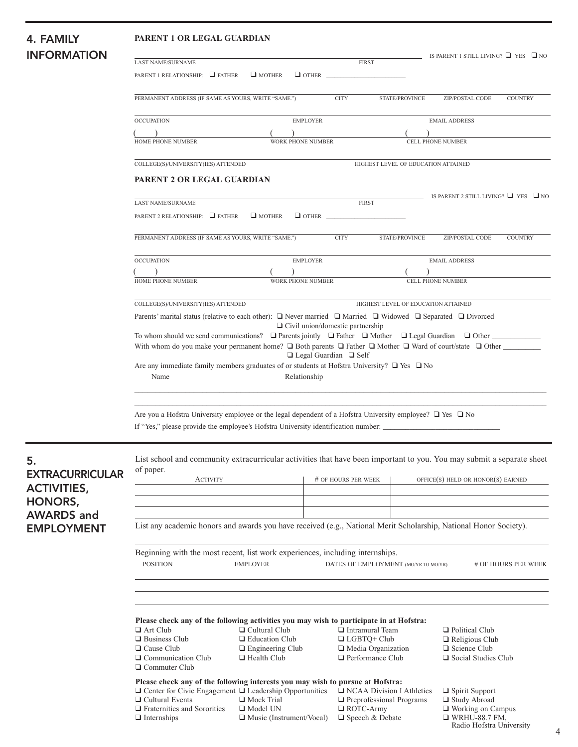# **INFORMATIO**

#### 4. FAMILY **PARENT 1 OR LEGAL GUARDIAN**

| 7. I AIIILI                            |                                                                                                                                                                                                          |                                                  |                                         |                                                 |                                                |                                                |                |
|----------------------------------------|----------------------------------------------------------------------------------------------------------------------------------------------------------------------------------------------------------|--------------------------------------------------|-----------------------------------------|-------------------------------------------------|------------------------------------------------|------------------------------------------------|----------------|
| <b>INFORMATION</b>                     | <b>FIRST</b><br><b>LAST NAME/SURNAME</b>                                                                                                                                                                 |                                                  |                                         |                                                 | IS PARENT 1 STILL LIVING? $\Box$ YES $\Box$ NO |                                                |                |
|                                        | PARENT 1 RELATIONSHIP: FATHER                                                                                                                                                                            | $\Box$ MOTHER                                    | $\Box$ other                            |                                                 |                                                |                                                |                |
|                                        |                                                                                                                                                                                                          |                                                  |                                         |                                                 |                                                |                                                |                |
|                                        | PERMANENT ADDRESS (IF SAME AS YOURS, WRITE "SAME.")                                                                                                                                                      |                                                  |                                         | <b>CITY</b>                                     | STATE/PROVINCE                                 | ZIP/POSTAL CODE                                | <b>COUNTRY</b> |
|                                        | <b>OCCUPATION</b>                                                                                                                                                                                        |                                                  | <b>EMPLOYER</b>                         |                                                 |                                                | <b>EMAIL ADDRESS</b>                           |                |
|                                        |                                                                                                                                                                                                          |                                                  |                                         |                                                 |                                                |                                                |                |
|                                        | HOME PHONE NUMBER                                                                                                                                                                                        |                                                  | <b>WORK PHONE NUMBER</b>                |                                                 |                                                | <b>CELL PHONE NUMBER</b>                       |                |
|                                        | COLLEGE(S)/UNIVERSITY(IES) ATTENDED                                                                                                                                                                      |                                                  |                                         | HIGHEST LEVEL OF EDUCATION ATTAINED             |                                                |                                                |                |
|                                        | PARENT 2 OR LEGAL GUARDIAN                                                                                                                                                                               |                                                  |                                         |                                                 |                                                |                                                |                |
|                                        | <b>LAST NAME/SURNAME</b>                                                                                                                                                                                 |                                                  |                                         | <b>FIRST</b>                                    |                                                | IS PARENT 2 STILL LIVING? $\Box$ YES $\Box$ NO |                |
|                                        | PARENT 2 RELATIONSHIP: FATHER                                                                                                                                                                            | $\Box$ MOTHER                                    | $\Box$ OTHER $\Box$                     |                                                 |                                                |                                                |                |
|                                        | PERMANENT ADDRESS (IF SAME AS YOURS, WRITE "SAME.")                                                                                                                                                      |                                                  |                                         | <b>CITY</b>                                     | STATE/PROVINCE                                 | ZIP/POSTAL CODE                                | <b>COUNTRY</b> |
|                                        | <b>OCCUPATION</b>                                                                                                                                                                                        |                                                  | <b>EMPLOYER</b>                         |                                                 |                                                | <b>EMAIL ADDRESS</b>                           |                |
|                                        |                                                                                                                                                                                                          |                                                  |                                         |                                                 |                                                |                                                |                |
|                                        | HOME PHONE NUMBER                                                                                                                                                                                        |                                                  | WORK PHONE NUMBER                       |                                                 |                                                | <b>CELL PHONE NUMBER</b>                       |                |
|                                        | COLLEGE(S)/UNIVERSITY(IES) ATTENDED                                                                                                                                                                      |                                                  |                                         |                                                 |                                                | HIGHEST LEVEL OF EDUCATION ATTAINED            |                |
|                                        | Parents' marital status (relative to each other): $\Box$ Never married $\Box$ Married $\Box$ Widowed $\Box$ Separated $\Box$ Divorced                                                                    |                                                  |                                         |                                                 |                                                |                                                |                |
|                                        | To whom should we send communications? $\Box$ Parents jointly $\Box$ Father $\Box$ Mother $\Box$ Legal Guardian $\Box$ Other                                                                             |                                                  | $\Box$ Civil union/domestic partnership |                                                 |                                                |                                                |                |
|                                        | With whom do you make your permanent home? $\Box$ Both parents $\Box$ Father $\Box$ Mother $\Box$ Ward of court/state $\Box$ Other                                                                       |                                                  |                                         |                                                 |                                                |                                                |                |
|                                        | $\Box$ Legal Guardian $\Box$ Self<br>Are any immediate family members graduates of or students at Hofstra University? $\Box$ Yes $\Box$ No<br>Relationship<br>Name                                       |                                                  |                                         |                                                 |                                                |                                                |                |
|                                        |                                                                                                                                                                                                          |                                                  |                                         |                                                 |                                                |                                                |                |
|                                        | Are you a Hofstra University employee or the legal dependent of a Hofstra University employee? $\Box$ Yes $\Box$ No<br>If "Yes," please provide the employee's Hofstra University identification number: |                                                  |                                         |                                                 |                                                |                                                |                |
|                                        | List school and community extracurricular activities that have been important to you. You may submit a separate sheet<br>of paper.                                                                       |                                                  |                                         |                                                 |                                                |                                                |                |
| <b>EXTRACURRICULAR</b>                 | <b>ACTIVITY</b>                                                                                                                                                                                          |                                                  |                                         | # OF HOURS PER WEEK                             |                                                | $OFFICE(S)$ HELD OR HONOR(S) EARNED            |                |
| <b>ACTIVITIES,</b>                     |                                                                                                                                                                                                          |                                                  |                                         |                                                 |                                                |                                                |                |
| HONORS,                                |                                                                                                                                                                                                          |                                                  |                                         |                                                 |                                                |                                                |                |
| <b>AWARDS</b> and<br><b>EMPLOYMENT</b> | List any academic honors and awards you have received (e.g., National Merit Scholarship, National Honor Society).                                                                                        |                                                  |                                         |                                                 |                                                |                                                |                |
|                                        | Beginning with the most recent, list work experiences, including internships.<br><b>POSITION</b><br><b>EMPLOYER</b><br>DATES OF EMPLOYMENT (MOYR TO MOYR)<br># OF HOURS PER WEEK                         |                                                  |                                         |                                                 |                                                |                                                |                |
|                                        |                                                                                                                                                                                                          |                                                  |                                         |                                                 |                                                |                                                |                |
|                                        | Please check any of the following activities you may wish to participate in at Hofstra:<br>$\Box$ Art Club                                                                                               | $\Box$ Cultural Club                             |                                         | $\Box$ Intramural Team                          |                                                | $\Box$ Political Club                          |                |
|                                        | $\Box$ Business Club<br>$\Box$ Cause Club                                                                                                                                                                | $\Box$ Education Club<br>$\Box$ Engineering Club |                                         | $\Box$ LGBTQ+ Club<br>$\Box$ Media Organization |                                                | $\Box$ Religious Club<br>$\Box$ Science Club   |                |
|                                        | $\Box$ Communication Club<br>$\Box$ Commuter Club                                                                                                                                                        | $\Box$ Health Club                               |                                         | $\Box$ Performance Club                         |                                                | $\Box$ Social Studies Club                     |                |

| Please check any of the following interests you may wish to pursue at Hofstra: |                                 |                                 |  |  |  |
|--------------------------------------------------------------------------------|---------------------------------|---------------------------------|--|--|--|
| $\Box$ Center for Civic Engagement $\Box$ Leadership Opportunities             |                                 | □ NCAA Division I Athletics     |  |  |  |
| $\Box$ Cultural Events                                                         | $\Box$ Mock Trial               | <b>Preprofessional Programs</b> |  |  |  |
| $\Box$ Fraternities and Sororities                                             | $\Box$ Model UN                 | $\Box$ ROTC-Army                |  |  |  |
| $\Box$ Internships                                                             | $\Box$ Music (Instrument/Vocal) | $\Box$ Speech & Debate          |  |  |  |

- ❑ Spirit Support ❑ Study Abroad
- ❑ Working on Campus
- 
- ❑ WRHU-88.7 FM, Radio Hofstra University 4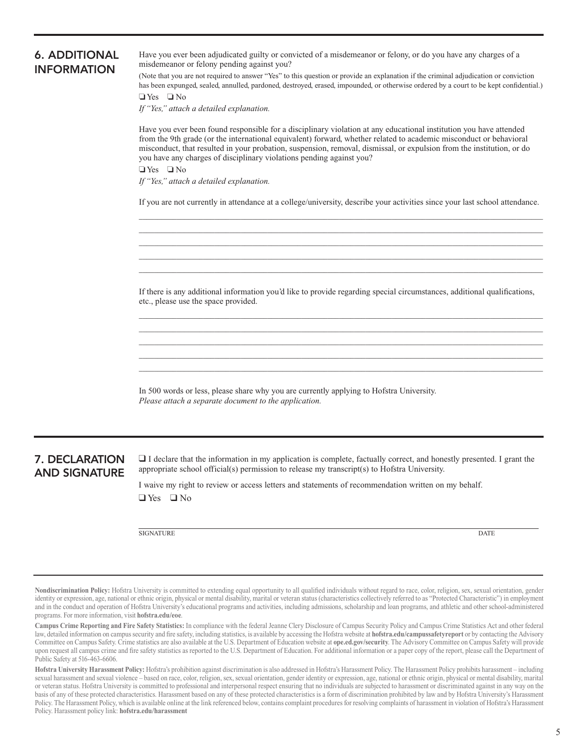| 6. ADDITIONAL      |
|--------------------|
| <b>INFORMATION</b> |

Have you ever been adjudicated guilty or convicted of a misdemeanor or felony, or do you have any charges of a misdemeanor or felony pending against you?

(Note that you are not required to answer "Yes" to this question or provide an explanation if the criminal adjudication or conviction has been expunged, sealed, annulled, pardoned, destroyed, erased, impounded, or otherwise ordered by a court to be kept confdential.)

❏ Yes ❏ No

*If "Yes," attach a detailed explanation.* 

Have you ever been found responsible for a disciplinary violation at any educational institution you have attended from the 9th grade (or the international equivalent) forward, whether related to academic misconduct or behavioral misconduct, that resulted in your probation, suspension, removal, dismissal, or expulsion from the institution, or do you have any charges of disciplinary violations pending against you?

❏ Yes ❏ No

*If "Yes," attach a detailed explanation.* 

**\_\_\_\_\_\_\_\_\_\_\_\_\_\_\_\_\_\_\_\_\_\_\_\_\_\_\_\_\_\_\_\_\_\_\_\_\_\_\_\_\_\_\_\_\_\_\_\_\_\_\_\_\_\_\_\_\_\_\_\_\_\_\_\_\_\_\_\_\_\_\_\_\_\_\_\_\_\_\_\_\_\_\_\_\_\_\_\_\_\_\_\_\_\_\_\_\_\_\_\_\_\_\_\_\_\_\_**  If you are not currently in attendance at a college/university, describe your activities since your last school attendance.

**\_\_\_\_\_\_\_\_\_\_\_\_\_\_\_\_\_\_\_\_\_\_\_\_\_\_\_\_\_\_\_\_\_\_\_\_\_\_\_\_\_\_\_\_\_\_\_\_\_\_\_\_\_\_\_\_\_\_\_\_\_\_\_\_\_\_\_\_\_\_\_\_\_\_\_\_\_\_\_\_\_\_\_\_\_\_\_\_\_\_\_\_\_\_\_\_\_\_\_\_\_\_\_\_\_\_\_ \_\_\_\_\_\_\_\_\_\_\_\_\_\_\_\_\_\_\_\_\_\_\_\_\_\_\_\_\_\_\_\_\_\_\_\_\_\_\_\_\_\_\_\_\_\_\_\_\_\_\_\_\_\_\_\_\_\_\_\_\_\_\_\_\_\_\_\_\_\_\_\_\_\_\_\_\_\_\_\_\_\_\_\_\_\_\_\_\_\_\_\_\_\_\_\_\_\_\_\_\_\_\_\_\_\_\_ \_\_\_\_\_\_\_\_\_\_\_\_\_\_\_\_\_\_\_\_\_\_\_\_\_\_\_\_\_\_\_\_\_\_\_\_\_\_\_\_\_\_\_\_\_\_\_\_\_\_\_\_\_\_\_\_\_\_\_\_\_\_\_\_\_\_\_\_\_\_\_\_\_\_\_\_\_\_\_\_\_\_\_\_\_\_\_\_\_\_\_\_\_\_\_\_\_\_\_\_\_\_\_\_\_\_\_ \_\_\_\_\_\_\_\_\_\_\_\_\_\_\_\_\_\_\_\_\_\_\_\_\_\_\_\_\_\_\_\_\_\_\_\_\_\_\_\_\_\_\_\_\_\_\_\_\_\_\_\_\_\_\_\_\_\_\_\_\_\_\_\_\_\_\_\_\_\_\_\_\_\_\_\_\_\_\_\_\_\_\_\_\_\_\_\_\_\_\_\_\_\_\_\_\_\_\_\_\_\_\_\_\_\_\_** 

If there is any additional information you'd like to provide regarding special circumstances, additional qualifcations, etc., please use the space provided.

**\_\_\_\_\_\_\_\_\_\_\_\_\_\_\_\_\_\_\_\_\_\_\_\_\_\_\_\_\_\_\_\_\_\_\_\_\_\_\_\_\_\_\_\_\_\_\_\_\_\_\_\_\_\_\_\_\_\_\_\_\_\_\_\_\_\_\_\_\_\_\_\_\_\_\_\_\_\_\_\_\_\_\_\_\_\_\_\_\_\_\_\_\_\_\_\_\_\_\_\_\_\_\_\_\_\_\_ \_\_\_\_\_\_\_\_\_\_\_\_\_\_\_\_\_\_\_\_\_\_\_\_\_\_\_\_\_\_\_\_\_\_\_\_\_\_\_\_\_\_\_\_\_\_\_\_\_\_\_\_\_\_\_\_\_\_\_\_\_\_\_\_\_\_\_\_\_\_\_\_\_\_\_\_\_\_\_\_\_\_\_\_\_\_\_\_\_\_\_\_\_\_\_\_\_\_\_\_\_\_\_\_\_\_\_ \_\_\_\_\_\_\_\_\_\_\_\_\_\_\_\_\_\_\_\_\_\_\_\_\_\_\_\_\_\_\_\_\_\_\_\_\_\_\_\_\_\_\_\_\_\_\_\_\_\_\_\_\_\_\_\_\_\_\_\_\_\_\_\_\_\_\_\_\_\_\_\_\_\_\_\_\_\_\_\_\_\_\_\_\_\_\_\_\_\_\_\_\_\_\_\_\_\_\_\_\_\_\_\_\_\_\_ \_\_\_\_\_\_\_\_\_\_\_\_\_\_\_\_\_\_\_\_\_\_\_\_\_\_\_\_\_\_\_\_\_\_\_\_\_\_\_\_\_\_\_\_\_\_\_\_\_\_\_\_\_\_\_\_\_\_\_\_\_\_\_\_\_\_\_\_\_\_\_\_\_\_\_\_\_\_\_\_\_\_\_\_\_\_\_\_\_\_\_\_\_\_\_\_\_\_\_\_\_\_\_\_\_\_\_ \_\_\_\_\_\_\_\_\_\_\_\_\_\_\_\_\_\_\_\_\_\_\_\_\_\_\_\_\_\_\_\_\_\_\_\_\_\_\_\_\_\_\_\_\_\_\_\_\_\_\_\_\_\_\_\_\_\_\_\_\_\_\_\_\_\_\_\_\_\_\_\_\_\_\_\_\_\_\_\_\_\_\_\_\_\_\_\_\_\_\_\_\_\_\_\_\_\_\_\_\_\_\_\_\_\_\_** 

In 500 words or less, please share why you are currently applying to Hofstra University. *Please attach a separate document to the application.* 

**7. DECLARATION**  $\Box$  I declare that the information in my application is complete, factually correct, and honestly presented. I grant the AND SIGNATURE appropriate school official(s) permission to release my transcript(s) to Hofstra University.

> ❑ Yes ❑ No I waive my right to review or access letters and statements of recommendation written on my behalf.

SIGNATURE DATE

**Nondiscrimination Policy:** Hofstra University is committed to extending equal opportunity to all qualifed individuals without regard to race, color, religion, sex, sexual orientation, gender identity or expression, age, national or ethnic origin, physical or mental disability, marital or veteran status (characteristics collectively referred to as "Protected Characteristic") in employment and in the conduct and operation of Hofstra University's educational programs and activities, including admissions, scholarship and loan programs, and athletic and other school-administered programs. For more information, visit **[hofstra.edu/eoe](https://hofstra.edu/eoe)**.

 law, detailed information on campus security and fre safety, including statistics, is available by accessing the Hofstra website at **[hofstra.edu/campussafetyreport](https://hofstra.edu/campussafetyreport)** or by contacting the Advisory **Campus Crime Reporting and Fire Safety Statistics:** In compliance with the federal Jeanne Clery Disclosure of Campus Security Policy and Campus Crime Statistics Act and other federal Committee on Campus Safety. Crime statistics are also available at the U.S. Department of Education website at **[ope.ed.gov/security](https://ope.ed.gov/security)**. The Advisory Committee on Campus Safety will provide upon request all campus crime and fre safety statistics as reported to the U.S. Department of Education. For additional information or a paper copy of the report, please call the Department of Public Safety at 516-463-6606.

**Hofstra University Harassment Policy:** Hofstra's prohibition against discrimination is also addressed in Hofstra's Harassment Policy. The Harassment Policy prohibits harassment – including sexual harassment and sexual violence – based on race, color, religion, sex, sexual orientation, gender identity or expression, age, national or ethnic origin, physical or mental disability, marital or veteran status. Hofstra University is committed to professional and interpersonal respect ensuring that no individuals are subjected to harassment or discriminated against in any way on the basis of any of these protected characteristics. Harassment based on any of these protected characteristics is a form of discrimination prohibited by law and by Hofstra University's Harassment Policy. The Harassment Policy, which is available online at the link referenced below, contains complaint procedures for resolving complaints of harassment in violation of Hofstra's Harassment Policy. Harassment policy link: **[hofstra.edu/harassment](https://hofstra.edu/harassment)**